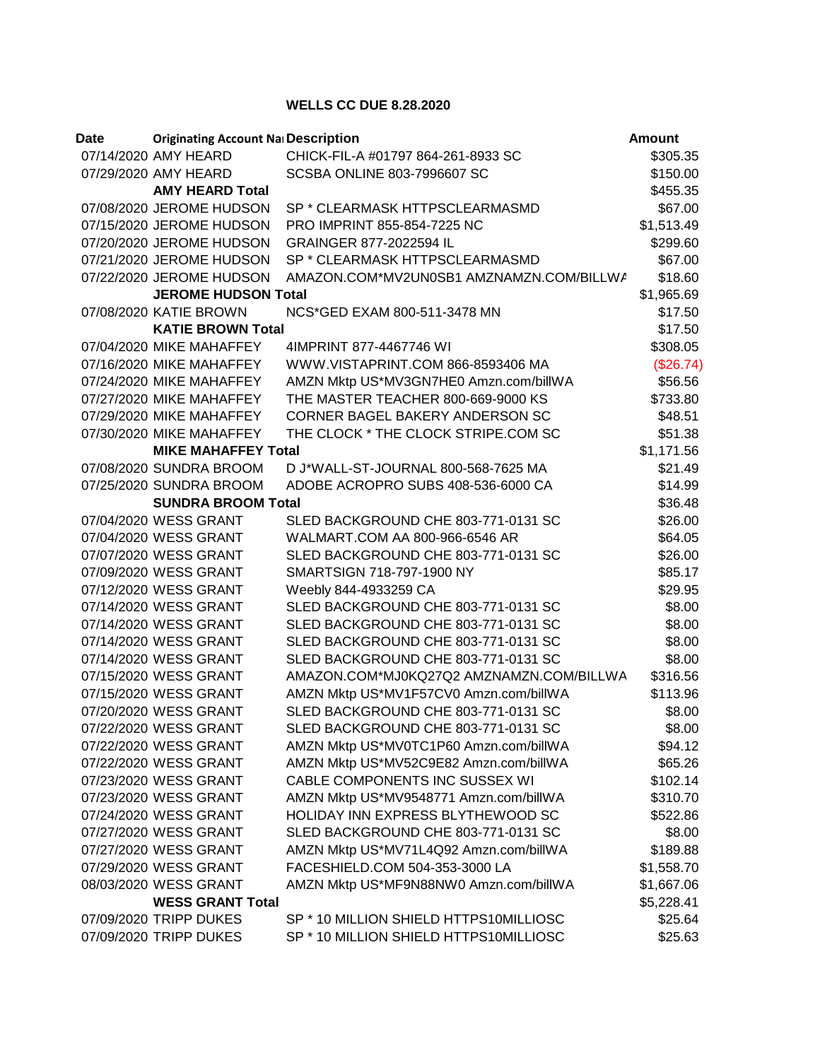## **WELLS CC DUE 8.28.2020**

| Date | <b>Originating Account Na Description</b> |                                          | <b>Amount</b> |
|------|-------------------------------------------|------------------------------------------|---------------|
|      | 07/14/2020 AMY HEARD                      | CHICK-FIL-A #01797 864-261-8933 SC       | \$305.35      |
|      | 07/29/2020 AMY HEARD                      | <b>SCSBA ONLINE 803-7996607 SC</b>       | \$150.00      |
|      | <b>AMY HEARD Total</b>                    |                                          | \$455.35      |
|      | 07/08/2020 JEROME HUDSON                  | SP * CLEARMASK HTTPSCLEARMASMD           | \$67.00       |
|      | 07/15/2020 JEROME HUDSON                  | PRO IMPRINT 855-854-7225 NC              | \$1,513.49    |
|      | 07/20/2020 JEROME HUDSON                  | GRAINGER 877-2022594 IL                  | \$299.60      |
|      | 07/21/2020 JEROME HUDSON                  | SP * CLEARMASK HTTPSCLEARMASMD           | \$67.00       |
|      | 07/22/2020 JEROME HUDSON                  | AMAZON.COM*MV2UN0SB1 AMZNAMZN.COM/BILLWA | \$18.60       |
|      | <b>JEROME HUDSON Total</b>                |                                          | \$1,965.69    |
|      | 07/08/2020 KATIE BROWN                    | NCS*GED EXAM 800-511-3478 MN             | \$17.50       |
|      | <b>KATIE BROWN Total</b>                  |                                          | \$17.50       |
|      | 07/04/2020 MIKE MAHAFFEY                  | 4IMPRINT 877-4467746 WI                  | \$308.05      |
|      | 07/16/2020 MIKE MAHAFFEY                  | WWW.VISTAPRINT.COM 866-8593406 MA        | (\$26.74)     |
|      | 07/24/2020 MIKE MAHAFFEY                  | AMZN Mktp US*MV3GN7HE0 Amzn.com/billWA   | \$56.56       |
|      | 07/27/2020 MIKE MAHAFFEY                  | THE MASTER TEACHER 800-669-9000 KS       | \$733.80      |
|      | 07/29/2020 MIKE MAHAFFEY                  | CORNER BAGEL BAKERY ANDERSON SC          | \$48.51       |
|      | 07/30/2020 MIKE MAHAFFEY                  | THE CLOCK * THE CLOCK STRIPE.COM SC      | \$51.38       |
|      | <b>MIKE MAHAFFEY Total</b>                |                                          | \$1,171.56    |
|      | 07/08/2020 SUNDRA BROOM                   | D J*WALL-ST-JOURNAL 800-568-7625 MA      | \$21.49       |
|      | 07/25/2020 SUNDRA BROOM                   | ADOBE ACROPRO SUBS 408-536-6000 CA       | \$14.99       |
|      | <b>SUNDRA BROOM Total</b>                 |                                          | \$36.48       |
|      | 07/04/2020 WESS GRANT                     | SLED BACKGROUND CHE 803-771-0131 SC      | \$26.00       |
|      | 07/04/2020 WESS GRANT                     | WALMART.COM AA 800-966-6546 AR           | \$64.05       |
|      | 07/07/2020 WESS GRANT                     | SLED BACKGROUND CHE 803-771-0131 SC      | \$26.00       |
|      | 07/09/2020 WESS GRANT                     | SMARTSIGN 718-797-1900 NY                | \$85.17       |
|      | 07/12/2020 WESS GRANT                     | Weebly 844-4933259 CA                    | \$29.95       |
|      | 07/14/2020 WESS GRANT                     | SLED BACKGROUND CHE 803-771-0131 SC      | \$8.00        |
|      | 07/14/2020 WESS GRANT                     | SLED BACKGROUND CHE 803-771-0131 SC      | \$8.00        |
|      | 07/14/2020 WESS GRANT                     | SLED BACKGROUND CHE 803-771-0131 SC      | \$8.00        |
|      | 07/14/2020 WESS GRANT                     | SLED BACKGROUND CHE 803-771-0131 SC      | \$8.00        |
|      | 07/15/2020 WESS GRANT                     | AMAZON.COM*MJ0KQ27Q2 AMZNAMZN.COM/BILLWA | \$316.56      |
|      | 07/15/2020 WESS GRANT                     | AMZN Mktp US*MV1F57CV0 Amzn.com/billWA   | \$113.96      |
|      | 07/20/2020 WESS GRANT                     | SLED BACKGROUND CHE 803-771-0131 SC      | \$8.00        |
|      | 07/22/2020 WESS GRANT                     | SLED BACKGROUND CHE 803-771-0131 SC      | \$8.00        |
|      | 07/22/2020 WESS GRANT                     | AMZN Mktp US*MV0TC1P60 Amzn.com/billWA   | \$94.12       |
|      | 07/22/2020 WESS GRANT                     | AMZN Mktp US*MV52C9E82 Amzn.com/billWA   | \$65.26       |
|      | 07/23/2020 WESS GRANT                     | CABLE COMPONENTS INC SUSSEX WI           | \$102.14      |
|      | 07/23/2020 WESS GRANT                     | AMZN Mktp US*MV9548771 Amzn.com/billWA   | \$310.70      |
|      | 07/24/2020 WESS GRANT                     | HOLIDAY INN EXPRESS BLYTHEWOOD SC        | \$522.86      |
|      | 07/27/2020 WESS GRANT                     | SLED BACKGROUND CHE 803-771-0131 SC      | \$8.00        |
|      | 07/27/2020 WESS GRANT                     | AMZN Mktp US*MV71L4Q92 Amzn.com/billWA   | \$189.88      |
|      | 07/29/2020 WESS GRANT                     | FACESHIELD.COM 504-353-3000 LA           | \$1,558.70    |
|      | 08/03/2020 WESS GRANT                     | AMZN Mktp US*MF9N88NW0 Amzn.com/billWA   | \$1,667.06    |
|      | <b>WESS GRANT Total</b>                   |                                          | \$5,228.41    |
|      | 07/09/2020 TRIPP DUKES                    | SP * 10 MILLION SHIELD HTTPS10MILLIOSC   | \$25.64       |
|      | 07/09/2020 TRIPP DUKES                    | SP * 10 MILLION SHIELD HTTPS10MILLIOSC   | \$25.63       |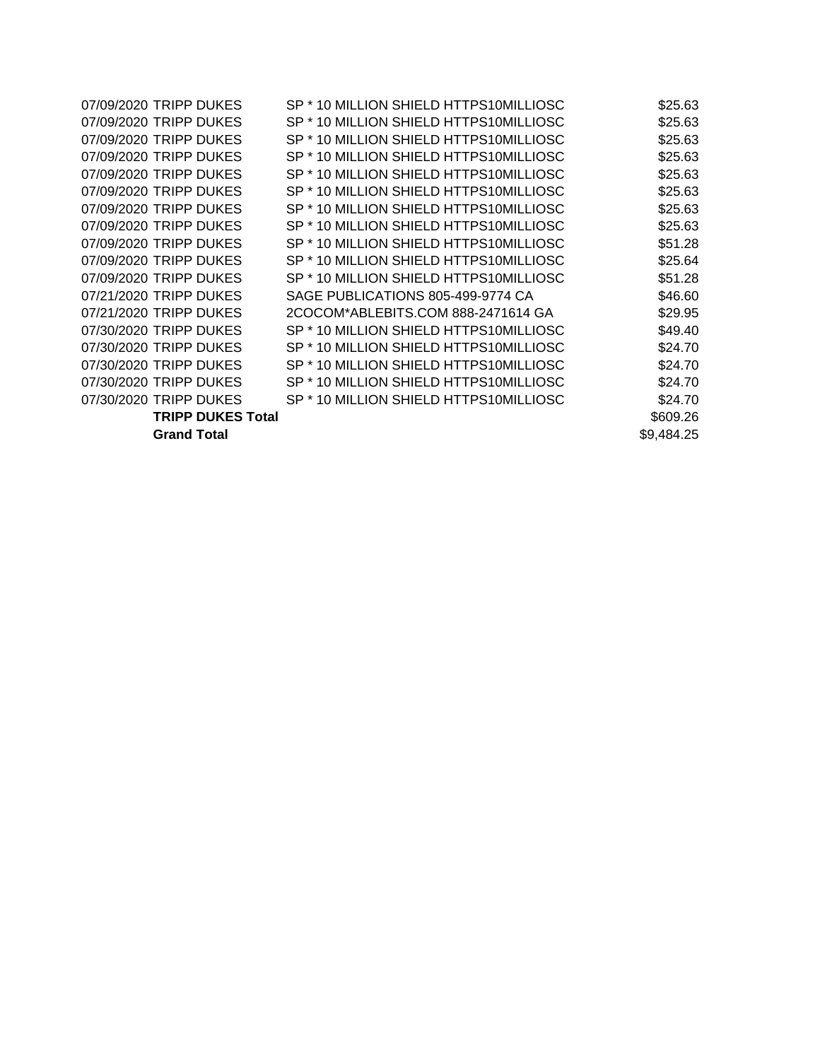| 07/09/2020 TRIPP DUKES   | SP * 10 MILLION SHIELD HTTPS10MILLIOSC | \$25.63    |
|--------------------------|----------------------------------------|------------|
| 07/09/2020 TRIPP DUKES   | SP * 10 MILLION SHIELD HTTPS10MILLIOSC | \$25.63    |
| 07/09/2020 TRIPP DUKES   | SP * 10 MILLION SHIELD HTTPS10MILLIOSC | \$25.63    |
| 07/09/2020 TRIPP DUKES   | SP * 10 MILLION SHIELD HTTPS10MILLIOSC | \$25.63    |
| 07/09/2020 TRIPP DUKES   | SP * 10 MILLION SHIELD HTTPS10MILLIOSC | \$25.63    |
| 07/09/2020 TRIPP DUKES   | SP * 10 MILLION SHIELD HTTPS10MILLIOSC | \$25.63    |
| 07/09/2020 TRIPP DUKES   | SP * 10 MILLION SHIELD HTTPS10MILLIOSC | \$25.63    |
| 07/09/2020 TRIPP DUKES   | SP * 10 MILLION SHIELD HTTPS10MILLIOSC | \$25.63    |
| 07/09/2020 TRIPP DUKES   | SP * 10 MILLION SHIELD HTTPS10MILLIOSC | \$51.28    |
| 07/09/2020 TRIPP DUKES   | SP * 10 MILLION SHIELD HTTPS10MILLIOSC | \$25.64    |
| 07/09/2020 TRIPP DUKES   | SP * 10 MILLION SHIELD HTTPS10MILLIOSC | \$51.28    |
| 07/21/2020 TRIPP DUKES   | SAGE PUBLICATIONS 805-499-9774 CA      | \$46.60    |
| 07/21/2020 TRIPP DUKES   | 2COCOM*ABLEBITS.COM 888-2471614 GA     | \$29.95    |
| 07/30/2020 TRIPP DUKES   | SP * 10 MILLION SHIELD HTTPS10MILLIOSC | \$49.40    |
| 07/30/2020 TRIPP DUKES   | SP * 10 MILLION SHIELD HTTPS10MILLIOSC | \$24.70    |
| 07/30/2020 TRIPP DUKES   | SP * 10 MILLION SHIELD HTTPS10MILLIOSC | \$24.70    |
| 07/30/2020 TRIPP DUKES   | SP * 10 MILLION SHIELD HTTPS10MILLIOSC | \$24.70    |
| 07/30/2020 TRIPP DUKES   | SP * 10 MILLION SHIELD HTTPS10MILLIOSC | \$24.70    |
| <b>TRIPP DUKES Total</b> |                                        | \$609.26   |
| <b>Grand Total</b>       |                                        | \$9,484.25 |
|                          |                                        |            |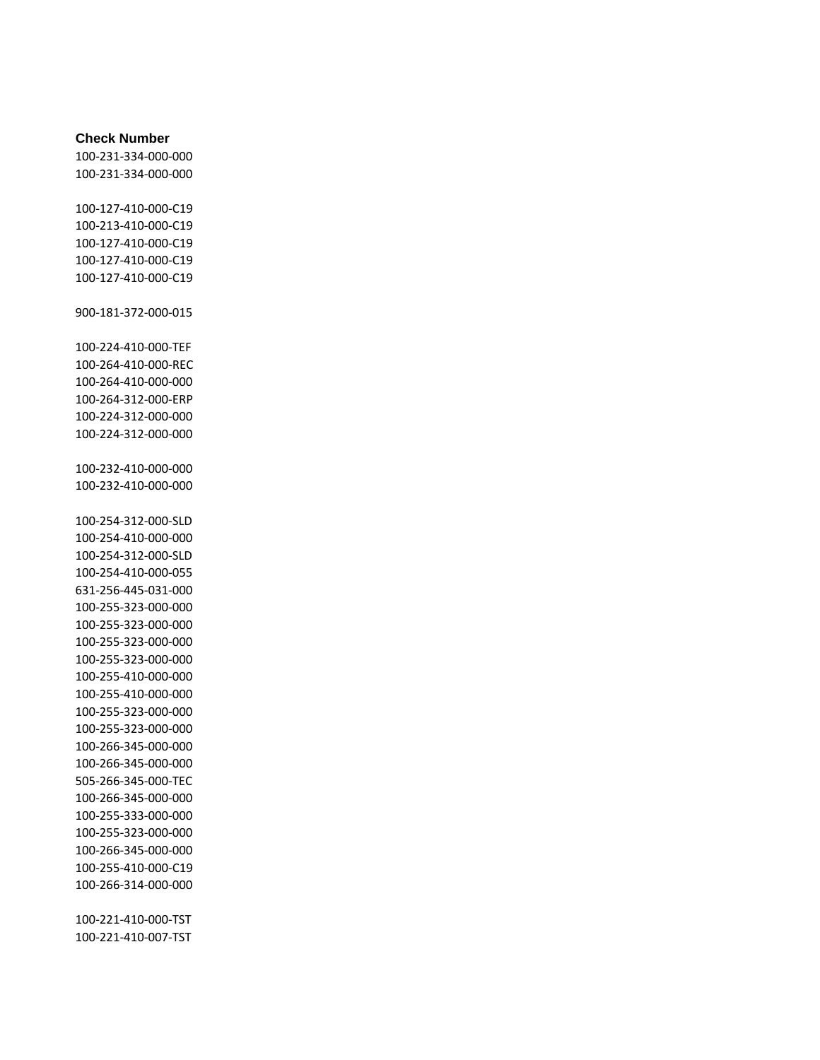## **Check Number**

100-231-334-000-000 100-231-334-000-000

100-127-410-000-C19 100-213-410-000-C19 100-127-410-000-C19 100-127-410-000-C19 100-127-410-000-C19

900-181-372-000-015

100-224-410-000-TEF 100-264-410-000-REC 100-264-410-000-000 100-264-312-000-ERP 100-224-312-000-000 100-224-312-000-000

100-232-410-000-000 100-232-410-000-000

100-254-312-000-SLD 100-254-410-000-000 100-254-312-000-SLD 100-254-410-000-055 631-256-445-031-000 100-255-323-000-000 100-255-323-000-000 100-255-323-000-000 100-255-323-000-000 100-255-410-000-000 100-255-410-000-000 100-255-323-000-000 100-255-323-000-000 100-266-345-000-000 100-266-345-000-000 505-266-345-000-TEC 100-266-345-000-000 100-255-333-000-000 100-255-323-000-000 100-266-345-000-000 100-255-410-000-C19 100-266-314-000-000

100-221-410-000-TST 100-221-410-007-TST